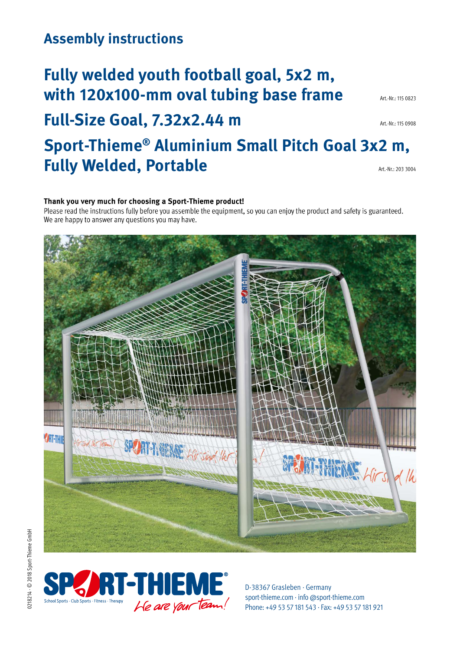### **Assembly instructions**

# **Fully welded youth football goal, 5x2 m,**  With 120x100-mm oval tubing base frame Art.-Nr.: 115 0823

**Full-Size Goal, 7.32x2.44 m** 

## **Sport-Thieme® Aluminium Small Pitch Goal 3x2 m, Fully Welded, Portable** Art.-Nr.: 203 3004

#### Thank you very much for choosing a Sport-Thieme product!

Please read the instructions fully before you assemble the equipment, so you can enjoy the product and safety is guaranteed. We are happy to answer any questions you may have.





D-38367 Grasleben · Germany sport-thieme.com · info @sport-thieme.com [Phone: +49 53 57 181 543 · Fax: +49 53 57 181 921](http://sport-thieme.com)